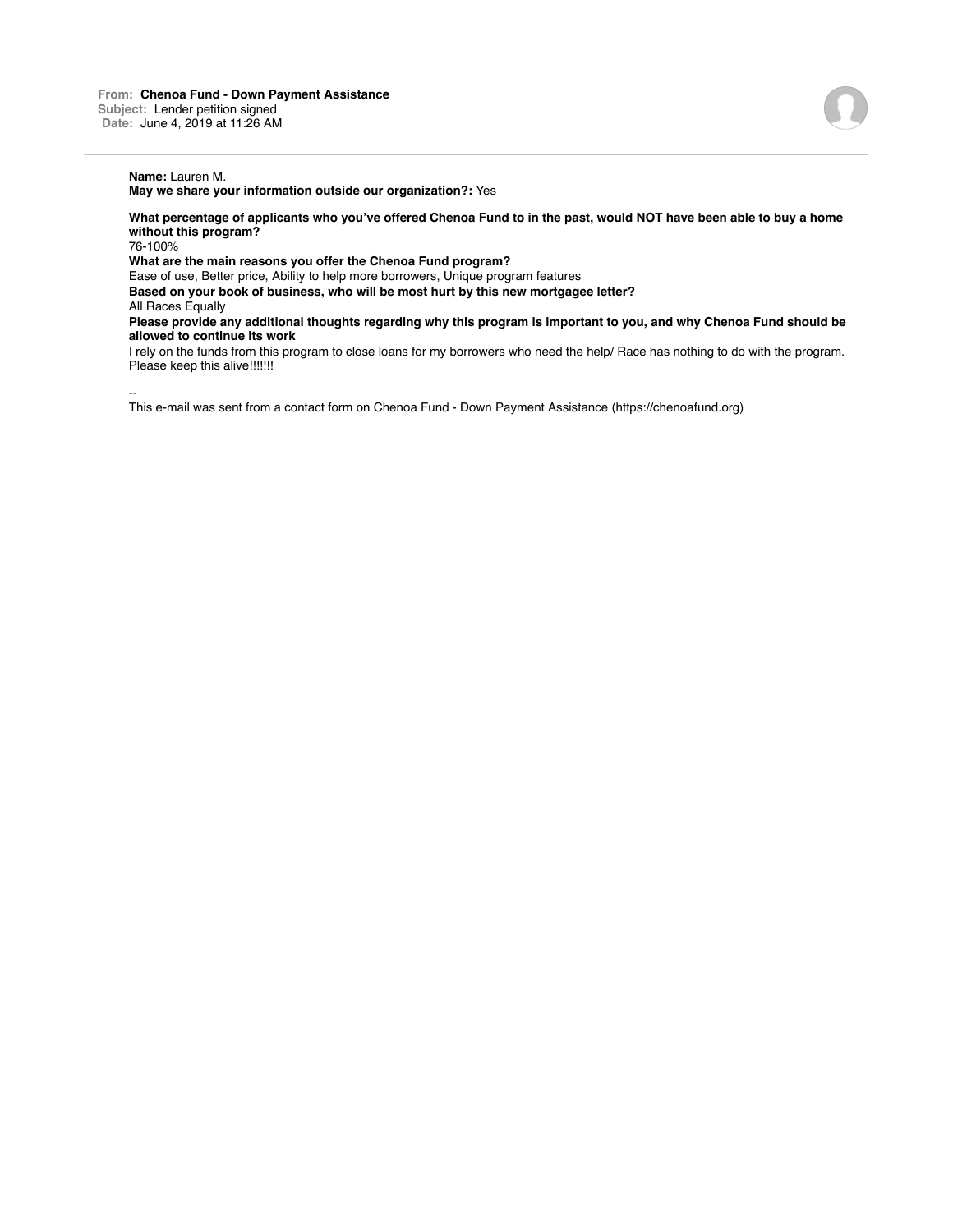## **Name:** Lauren M.

**May we share your information outside our organization?:** Yes

**What percentage of applicants who you've offered Chenoa Fund to in the past, would NOT have been able to buy a home without this program?**

76-100%

**What are the main reasons you offer the Chenoa Fund program?**

Ease of use, Better price, Ability to help more borrowers, Unique program features

**Based on your book of business, who will be most hurt by this new mortgagee letter?**

All Races Equally

**Please provide any additional thoughts regarding why this program is important to you, and why Chenoa Fund should be allowed to continue its work**

I rely on the funds from this program to close loans for my borrowers who need the help/ Race has nothing to do with the program. Please keep this alive!!!!!!!

--

This e-mail was sent from a contact form on Chenoa Fund - Down Payment Assistance (https://chenoafund.org)